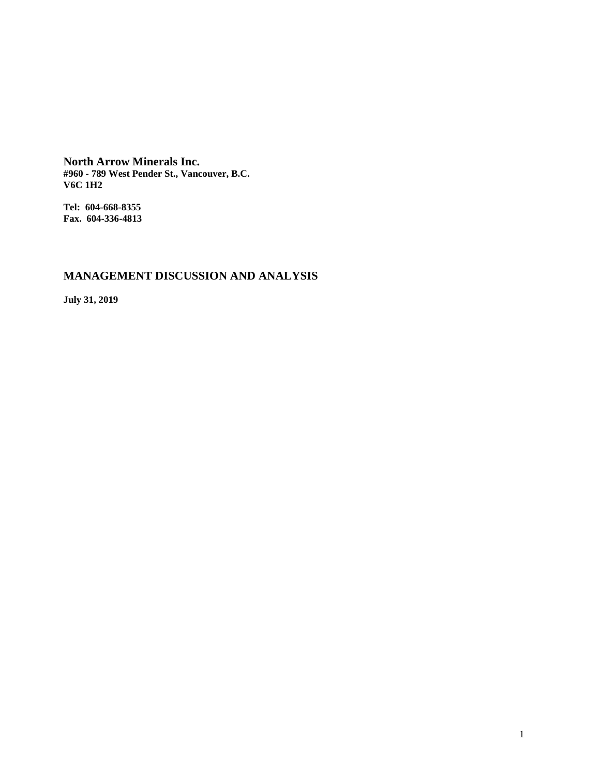**North Arrow Minerals Inc. #960 - 789 West Pender St., Vancouver, B.C. V6C 1H2**

**Tel: 604-668-8355 Fax. 604-336-4813**

# **MANAGEMENT DISCUSSION AND ANALYSIS**

**July 31, 2019**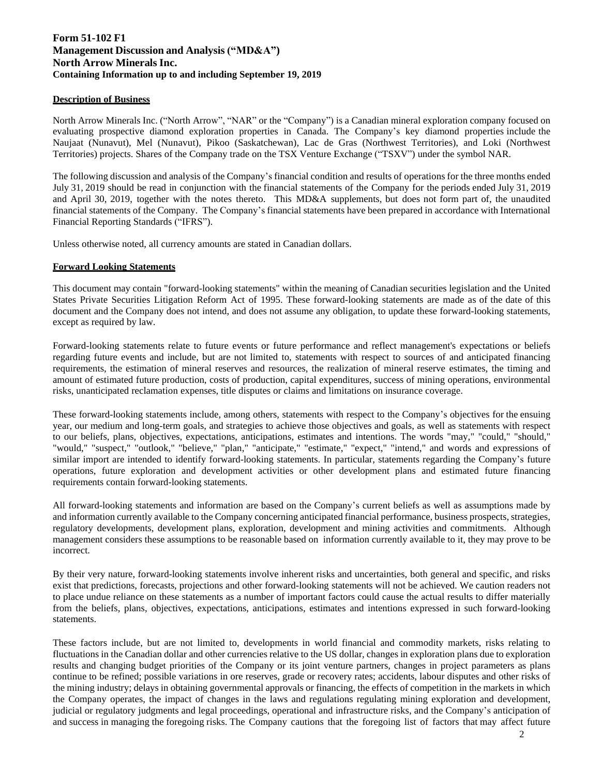# **Form 51-102 F1 Management Discussion and Analysis ("MD&A") North Arrow Minerals Inc. Containing Information up to and including September 19, 2019**

# **Description of Business**

North Arrow Minerals Inc. ("North Arrow", "NAR" or the "Company") is a Canadian mineral exploration company focused on evaluating prospective diamond exploration properties in Canada. The Company's key diamond properties include the Naujaat (Nunavut), Mel (Nunavut), Pikoo (Saskatchewan), Lac de Gras (Northwest Territories), and Loki (Northwest Territories) projects. Shares of the Company trade on the TSX Venture Exchange ("TSXV") under the symbol NAR.

The following discussion and analysis of the Company's financial condition and results of operations for the three months ended July 31, 2019 should be read in conjunction with the financial statements of the Company for the periods ended July 31, 2019 and April 30, 2019, together with the notes thereto. This MD&A supplements, but does not form part of, the unaudited financial statements of the Company. The Company's financial statements have been prepared in accordance with International Financial Reporting Standards ("IFRS").

Unless otherwise noted, all currency amounts are stated in Canadian dollars.

### **Forward Looking Statements**

This document may contain "forward-looking statements" within the meaning of Canadian securities legislation and the United States Private Securities Litigation Reform Act of 1995. These forward-looking statements are made as of the date of this document and the Company does not intend, and does not assume any obligation, to update these forward-looking statements, except as required by law.

Forward-looking statements relate to future events or future performance and reflect management's expectations or beliefs regarding future events and include, but are not limited to, statements with respect to sources of and anticipated financing requirements, the estimation of mineral reserves and resources, the realization of mineral reserve estimates, the timing and amount of estimated future production, costs of production, capital expenditures, success of mining operations, environmental risks, unanticipated reclamation expenses, title disputes or claims and limitations on insurance coverage.

These forward-looking statements include, among others, statements with respect to the Company's objectives for the ensuing year, our medium and long-term goals, and strategies to achieve those objectives and goals, as well as statements with respect to our beliefs, plans, objectives, expectations, anticipations, estimates and intentions. The words "may," "could," "should," "would," "suspect," "outlook," "believe," "plan," "anticipate," "estimate," "expect," "intend," and words and expressions of similar import are intended to identify forward-looking statements. In particular, statements regarding the Company's future operations, future exploration and development activities or other development plans and estimated future financing requirements contain forward-looking statements.

All forward-looking statements and information are based on the Company's current beliefs as well as assumptions made by and information currently available to the Company concerning anticipated financial performance, business prospects, strategies, regulatory developments, development plans, exploration, development and mining activities and commitments. Although management considers these assumptions to be reasonable based on information currently available to it, they may prove to be incorrect.

By their very nature, forward-looking statements involve inherent risks and uncertainties, both general and specific, and risks exist that predictions, forecasts, projections and other forward-looking statements will not be achieved. We caution readers not to place undue reliance on these statements as a number of important factors could cause the actual results to differ materially from the beliefs, plans, objectives, expectations, anticipations, estimates and intentions expressed in such forward-looking statements.

These factors include, but are not limited to, developments in world financial and commodity markets, risks relating to fluctuations in the Canadian dollar and other currencies relative to the US dollar, changes in exploration plans due to exploration results and changing budget priorities of the Company or its joint venture partners, changes in project parameters as plans continue to be refined; possible variations in ore reserves, grade or recovery rates; accidents, labour disputes and other risks of the mining industry; delays in obtaining governmental approvals or financing, the effects of competition in the markets in which the Company operates, the impact of changes in the laws and regulations regulating mining exploration and development, judicial or regulatory judgments and legal proceedings, operational and infrastructure risks, and the Company's anticipation of and success in managing the foregoing risks. The Company cautions that the foregoing list of factors that may affect future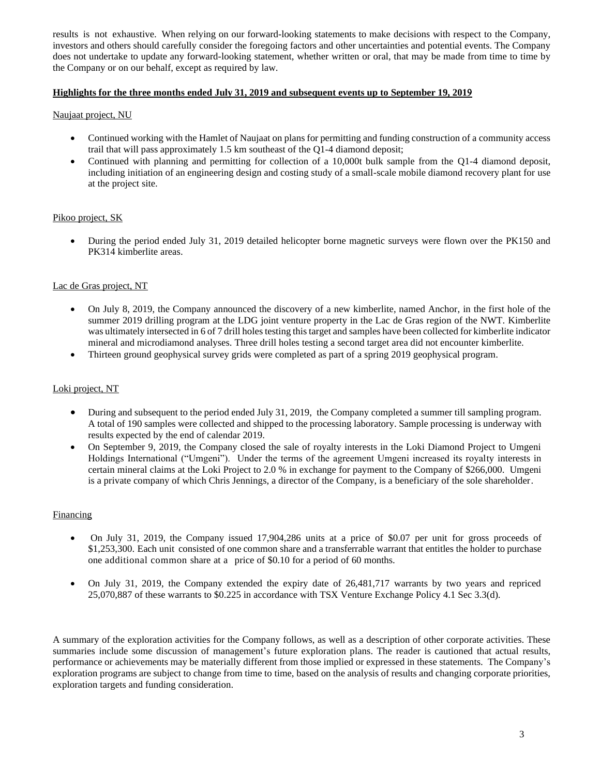results is not exhaustive. When relying on our forward-looking statements to make decisions with respect to the Company, investors and others should carefully consider the foregoing factors and other uncertainties and potential events. The Company does not undertake to update any forward-looking statement, whether written or oral, that may be made from time to time by the Company or on our behalf, except as required by law.

# **Highlights for the three months ended July 31, 2019 and subsequent events up to September 19, 201**

# Naujaat project, NU

- Continued working with the Hamlet of Naujaat on plans for permitting and funding construction of a community access trail that will pass approximately 1.5 km southeast of the Q1-4 diamond deposit;
- Continued with planning and permitting for collection of a 10,000t bulk sample from the Q1-4 diamond deposit, including initiation of an engineering design and costing study of a small-scale mobile diamond recovery plant for use at the project site.

### Pikoo project, SK

• During the period ended July 31, 2019 detailed helicopter borne magnetic surveys were flown over the PK150 and PK314 kimberlite areas.

### Lac de Gras project, NT

- On July 8, 2019, the Company announced the discovery of a new kimberlite, named Anchor, in the first hole of the summer 2019 drilling program at the LDG joint venture property in the Lac de Gras region of the NWT. Kimberlite was ultimately intersected in 6 of 7 drill holes testing this target and samples have been collected for kimberlite indicator mineral and microdiamond analyses. Three drill holes testing a second target area did not encounter kimberlite.
- Thirteen ground geophysical survey grids were completed as part of a spring 2019 geophysical program.

### Loki project, NT

- During and subsequent to the period ended July 31, 2019, the Company completed a summer till sampling program. A total of 190 samples were collected and shipped to the processing laboratory. Sample processing is underway with results expected by the end of calendar 2019.
- On September 9, 2019, the Company closed the sale of royalty interests in the Loki Diamond Project to Umgeni Holdings International ("Umgeni"). Under the terms of the agreement Umgeni increased its royalty interests in certain mineral claims at the Loki Project to 2.0 % in exchange for payment to the Company of \$266,000. Umgeni is a private company of which Chris Jennings, a director of the Company, is a beneficiary of the sole shareholder.

#### Financing

- On July 31, 2019, the Company issued 17,904,286 units at a price of \$0.07 per unit for gross proceeds of \$1,253,300. Each unit consisted of one common share and a transferrable warrant that entitles the holder to purchase one additional common share at a price of \$0.10 for a period of 60 months.
- On July 31, 2019, the Company extended the expiry date of 26,481,717 warrants by two years and repriced 25,070,887 of these warrants to \$0.225 in accordance with TSX Venture Exchange Policy 4.1 Sec 3.3(d).

A summary of the exploration activities for the Company follows, as well as a description of other corporate activities. These summaries include some discussion of management's future exploration plans. The reader is cautioned that actual results, performance or achievements may be materially different from those implied or expressed in these statements. The Company's exploration programs are subject to change from time to time, based on the analysis of results and changing corporate priorities, exploration targets and funding consideration.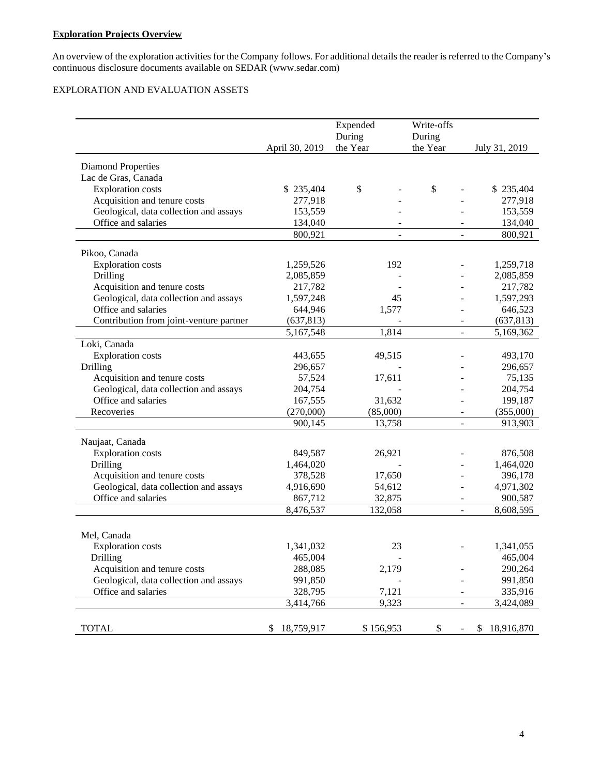# **Exploration Projects Overview**

An overview of the exploration activities for the Company follows. For additional details the reader is referred to the Company's continuous disclosure documents available on [SEDAR \(www.sedar.com](http://www.sedar.com/))

# EXPLORATION AND EVALUATION ASSETS

|                                         |                  | Expended           | Write-offs               |                  |
|-----------------------------------------|------------------|--------------------|--------------------------|------------------|
|                                         | April 30, 2019   | During<br>the Year | During<br>the Year       |                  |
|                                         |                  |                    |                          | July 31, 2019    |
| <b>Diamond Properties</b>               |                  |                    |                          |                  |
| Lac de Gras, Canada                     |                  |                    |                          |                  |
| <b>Exploration</b> costs                | \$235,404        | \$                 | \$                       | \$235,404        |
| Acquisition and tenure costs            | 277,918          |                    |                          | 277,918          |
| Geological, data collection and assays  | 153,559          |                    |                          | 153,559          |
| Office and salaries                     | 134,040          |                    |                          | 134,040          |
|                                         | 800,921          | $\overline{a}$     |                          | 800,921          |
| Pikoo, Canada                           |                  |                    |                          |                  |
| <b>Exploration</b> costs                | 1,259,526        | 192                |                          | 1,259,718        |
| Drilling                                | 2,085,859        |                    |                          | 2,085,859        |
| Acquisition and tenure costs            | 217,782          |                    |                          | 217,782          |
| Geological, data collection and assays  | 1,597,248        | 45                 |                          | 1,597,293        |
| Office and salaries                     | 644,946          | 1,577              |                          | 646,523          |
| Contribution from joint-venture partner | (637, 813)       |                    |                          | (637, 813)       |
|                                         | 5,167,548        | 1,814              |                          | 5,169,362        |
| Loki, Canada                            |                  |                    |                          |                  |
| <b>Exploration</b> costs                | 443,655          | 49,515             |                          | 493,170          |
| Drilling                                | 296,657          |                    |                          | 296,657          |
| Acquisition and tenure costs            | 57,524           | 17,611             |                          | 75,135           |
| Geological, data collection and assays  | 204,754          |                    |                          | 204,754          |
| Office and salaries                     | 167,555          | 31,632             |                          | 199,187          |
| Recoveries                              | (270,000)        | (85,000)           |                          | (355,000)        |
|                                         | 900,145          | 13,758             | $\overline{\phantom{a}}$ | 913,903          |
| Naujaat, Canada                         |                  |                    |                          |                  |
| <b>Exploration costs</b>                | 849,587          | 26,921             |                          | 876,508          |
| Drilling                                | 1,464,020        |                    |                          | 1,464,020        |
| Acquisition and tenure costs            | 378,528          | 17,650             |                          | 396,178          |
| Geological, data collection and assays  | 4,916,690        | 54,612             |                          | 4,971,302        |
| Office and salaries                     | 867,712          | 32,875             |                          | 900,587          |
|                                         | 8,476,537        | 132,058            | $\overline{\phantom{a}}$ | 8,608,595        |
|                                         |                  |                    |                          |                  |
| Mel, Canada                             |                  |                    |                          |                  |
| <b>Exploration</b> costs                | 1,341,032        | 23                 |                          | 1,341,055        |
| Drilling                                | 465,004          |                    |                          | 465,004          |
| Acquisition and tenure costs            | 288,085          | 2,179              |                          | 290,264          |
| Geological, data collection and assays  | 991,850          |                    |                          | 991,850          |
| Office and salaries                     | 328,795          | 7,121              |                          | 335,916          |
|                                         | 3,414,766        | 9,323              | $\overline{\phantom{a}}$ | 3,424,089        |
|                                         |                  |                    |                          |                  |
| <b>TOTAL</b>                            | 18,759,917<br>\$ | \$156,953          | \$                       | 18,916,870<br>\$ |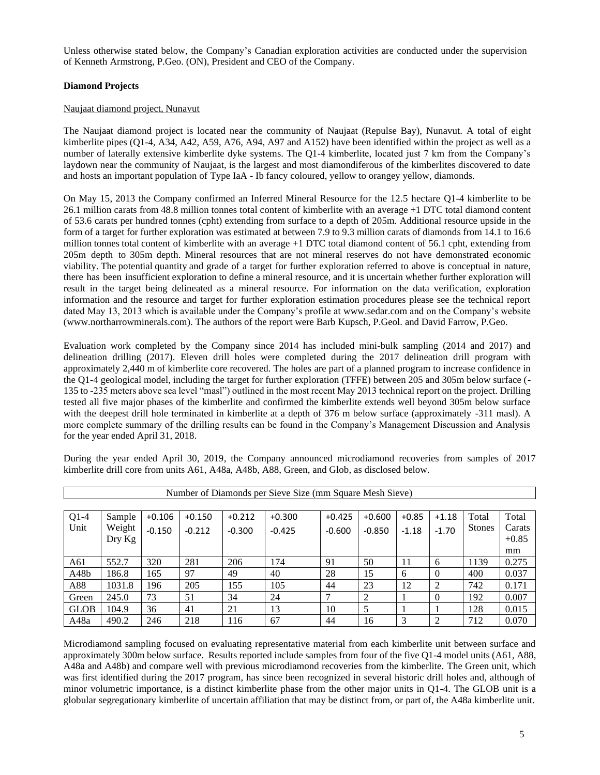Unless otherwise stated below, the Company's Canadian exploration activities are conducted under the supervision of Kenneth Armstrong, P.Geo. (ON), President and CEO of the Company.

# **Diamond Projects**

# Naujaat diamond project, Nunavut

The Naujaat diamond project is located near the community of Naujaat (Repulse Bay), Nunavut. A total of eight kimberlite pipes (Q1-4, A34, A42, A59, A76, A94, A97 and A152) have been identified within the project as well as a number of laterally extensive kimberlite dyke systems. The Q1-4 kimberlite, located just 7 km from the Company's laydown near the community of Naujaat, is the largest and most diamondiferous of the kimberlites discovered to date and hosts an important population of Type IaA - Ib fancy coloured, yellow to orangey yellow, diamonds.

On May 15, 2013 the Company confirmed an Inferred Mineral Resource for the 12.5 hectare Q1-4 kimberlite to be 26.1 million carats from 48.8 million tonnes total content of kimberlite with an average +1 DTC total diamond content of 53.6 carats per hundred tonnes (cpht) extending from surface to a depth of 205m. Additional resource upside in the form of a target for further exploration was estimated at between 7.9 to 9.3 million carats of diamonds from 14.1 to 16.6 million tonnes total content of kimberlite with an average +1 DTC total diamond content of 56.1 cpht, extending from 205m depth to 305m depth. Mineral resources that are not mineral reserves do not have demonstrated economic viability. The potential quantity and grade of a target for further exploration referred to above is conceptual in nature, there has been insufficient exploration to define a mineral resource, and it is uncertain whether further exploration will result in the target being delineated as a mineral resource. For information on the data verification, exploration information and the resource and target for further exploration estimation procedures please see the technical report dated May 13, 2013 which is available under the Company's profile at [www.sedar.com](http://www.sedar.com/) and on the Company's website [\(www.northarrowminerals.com\)](http://www.northarrowminerals.com/). The authors of the report were Barb Kupsch, P.Geol. and David Farrow, P.Geo.

Evaluation work completed by the Company since 2014 has included mini-bulk sampling (2014 and 2017) and delineation drilling (2017). Eleven drill holes were completed during the 2017 delineation drill program with approximately 2,440 m of kimberlite core recovered. The holes are part of a planned program to increase confidence in the Q1-4 geological model, including the target for further exploration (TFFE) between 205 and 305m below surface (- 135 to -235 meters above sea level "masl") outlined in the most recent May 2013 technical report on the project. Drilling tested all five major phases of the kimberlite and confirmed the kimberlite extends well beyond 305m below surface with the deepest drill hole terminated in kimberlite at a depth of 376 m below surface (approximately -311 masl). A more complete summary of the drilling results can be found in the Company's Management Discussion and Analysis for the year ended April 31, 2018.

|             | Number of Diamonds per Sieve Size (mm Square Mesh Sieve) |          |          |          |          |          |          |         |          |               |         |
|-------------|----------------------------------------------------------|----------|----------|----------|----------|----------|----------|---------|----------|---------------|---------|
|             |                                                          |          |          |          |          |          |          |         |          |               |         |
| $Q1-4$      | Sample                                                   | $+0.106$ | $+0.150$ | $+0.212$ | $+0.300$ | $+0.425$ | $+0.600$ | $+0.85$ | $+1.18$  | Total         | Total   |
| Unit        | Weight                                                   | $-0.150$ | $-0.212$ | $-0.300$ | $-0.425$ | $-0.600$ | $-0.850$ | $-1.18$ | $-1.70$  | <b>Stones</b> | Carats  |
|             | $_{\rm{Dry\,Kg}}$                                        |          |          |          |          |          |          |         |          |               | $+0.85$ |
|             |                                                          |          |          |          |          |          |          |         |          |               | mm      |
| A61         | 552.7                                                    | 320      | 281      | 206      | 174      | 91       | 50       | 11      | 6        | 1139          | 0.275   |
| A48b        | 186.8                                                    | 165      | 97       | 49       | 40       | 28       | 15       | 6       | $\Omega$ | 400           | 0.037   |
| A88         | 1031.8                                                   | 196      | 205      | 155      | 105      | 44       | 23       | 12      | 2        | 742           | 0.171   |
| Green       | 245.0                                                    | 73       | 51       | 34       | 24       |          | 2        |         | $\Omega$ | 192           | 0.007   |
| <b>GLOB</b> | 104.9                                                    | 36       | 41       | 21       | 13       | 10       | 5        |         |          | 128           | 0.015   |
| A48a        | 490.2                                                    | 246      | 218      | 116      | 67       | 44       | 16       | 3       | 2        | 712           | 0.070   |

During the year ended April 30, 2019, the Company announced microdiamond recoveries from samples of 2017 kimberlite drill core from units A61, A48a, A48b, A88, Green, and Glob, as disclosed below.

Microdiamond sampling focused on evaluating representative material from each kimberlite unit between surface and approximately 300m below surface. Results reported include samples from four of the five Q1-4 model units (A61, A88, A48a and A48b) and compare well with previous microdiamond recoveries from the kimberlite. The Green unit, which was first identified during the 2017 program, has since been recognized in several historic drill holes and, although of minor volumetric importance, is a distinct kimberlite phase from the other major units in Q1-4. The GLOB unit is a globular segregationary kimberlite of uncertain affiliation that may be distinct from, or part of, the A48a kimberlite unit.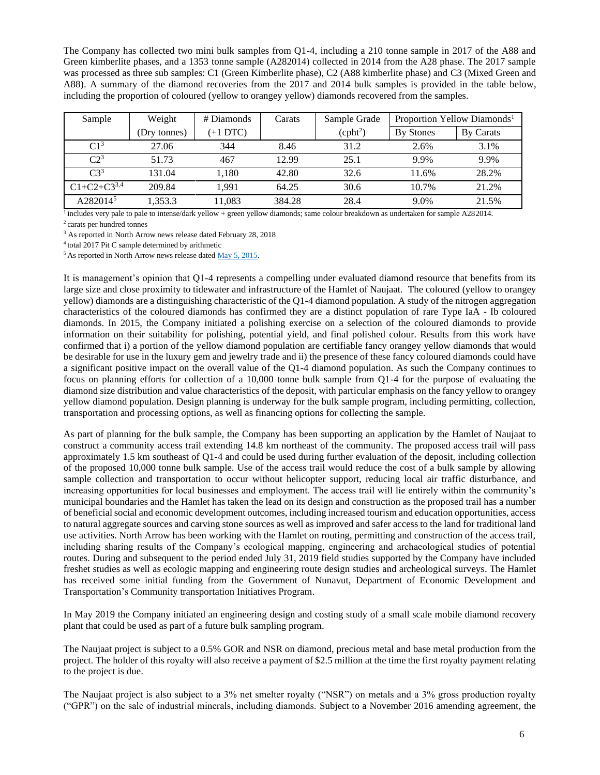The Company has collected two mini bulk samples from Q1-4, including a 210 tonne sample in 2017 of the A88 and Green kimberlite phases, and a 1353 tonne sample (A282014) collected in 2014 from the A28 phase. The 2017 sample was processed as three sub samples: C1 (Green Kimberlite phase), C2 (A88 kimberlite phase) and C3 (Mixed Green and A88). A summary of the diamond recoveries from the 2017 and 2014 bulk samples is provided in the table below, including the proportion of coloured (yellow to orangey yellow) diamonds recovered from the samples.

| Sample               | Weight       | # Diamonds | Carats | Sample Grade         |           | Proportion Yellow Diamonds <sup>1</sup> |
|----------------------|--------------|------------|--------|----------------------|-----------|-----------------------------------------|
|                      | (Dry tonnes) | $(+1$ DTC) |        | (cpht <sup>2</sup> ) | By Stones | By Carats                               |
| C1 <sup>3</sup>      | 27.06        | 344        | 8.46   | 31.2                 | 2.6%      | 3.1%                                    |
| C2 <sup>3</sup>      | 51.73        | 467        | 12.99  | 25.1                 | 9.9%      | 9.9%                                    |
| $C3^3$               | 131.04       | 1.180      | 42.80  | 32.6                 | 11.6%     | 28.2%                                   |
| $C1 + C2 + C3^{3,4}$ | 209.84       | 1.991      | 64.25  | 30.6                 | 10.7%     | 21.2%                                   |
| A282014 <sup>5</sup> | 1,353.3      | 11,083     | 384.28 | 28.4                 | 9.0%      | 21.5%                                   |

<sup>1</sup> includes very pale to pale to intense/dark yellow + green yellow diamonds; same colour breakdown as undertaken for sample A282014. <sup>2</sup>carats per hundred tonnes

<sup>3</sup> As reported in North Arrow news release dated February 28, 2018

<sup>4</sup> total 2017 Pit C sample determined by arithmetic

<sup>5</sup> As reported in North Arrow news release dated [May 5, 2015.](http://www.northarrowminerals.com/news/press_releases/2015/index.php?content_id=178)

It is management's opinion that Q1-4 represents a compelling under evaluated diamond resource that benefits from its large size and close proximity to tidewater and infrastructure of the Hamlet of Naujaat. The coloured (yellow to orangey yellow) diamonds are a distinguishing characteristic of the Q1-4 diamond population. A study of the nitrogen aggregation characteristics of the coloured diamonds has confirmed they are a distinct population of rare Type IaA - Ib coloured diamonds. In 2015, the Company initiated a polishing exercise on a selection of the coloured diamonds to provide information on their suitability for polishing, potential yield, and final polished colour. Results from this work have confirmed that i) a portion of the yellow diamond population are certifiable fancy orangey yellow diamonds that would be desirable for use in the luxury gem and jewelry trade and ii) the presence of these fancy coloured diamonds could have a significant positive impact on the overall value of the Q1-4 diamond population. As such the Company continues to focus on planning efforts for collection of a 10,000 tonne bulk sample from Q1-4 for the purpose of evaluating the diamond size distribution and value characteristics of the deposit, with particular emphasis on the fancy yellow to orangey yellow diamond population. Design planning is underway for the bulk sample program, including permitting, collection, transportation and processing options, as well as financing options for collecting the sample.

As part of planning for the bulk sample, the Company has been supporting an application by the Hamlet of Naujaat to construct a community access trail extending 14.8 km northeast of the community. The proposed access trail will pass approximately 1.5 km southeast of Q1-4 and could be used during further evaluation of the deposit, including collection of the proposed 10,000 tonne bulk sample. Use of the access trail would reduce the cost of a bulk sample by allowing sample collection and transportation to occur without helicopter support, reducing local air traffic disturbance, and increasing opportunities for local businesses and employment. The access trail will lie entirely within the community's municipal boundaries and the Hamlet has taken the lead on its design and construction as the proposed trail has a number of beneficial social and economic development outcomes, including increased tourism and education opportunities, access to natural aggregate sources and carving stone sources as well as improved and safer access to the land for traditional land use activities. North Arrow has been working with the Hamlet on routing, permitting and construction of the access trail, including sharing results of the Company's ecological mapping, engineering and archaeological studies of potential routes. During and subsequent to the period ended July 31, 2019 field studies supported by the Company have included freshet studies as well as ecologic mapping and engineering route design studies and archeological surveys. The Hamlet has received some initial funding from the Government of Nunavut, Department of Economic Development and Transportation's Community transportation Initiatives Program.

In May 2019 the Company initiated an engineering design and costing study of a small scale mobile diamond recovery plant that could be used as part of a future bulk sampling program.

The Naujaat project is subject to a 0.5% GOR and NSR on diamond, precious metal and base metal production from the project. The holder of this royalty will also receive a payment of \$2.5 million at the time the first royalty payment relating to the project is due.

The Naujaat project is also subject to a 3% net smelter royalty ("NSR") on metals and a 3% gross production royalty ("GPR") on the sale of industrial minerals, including diamonds. Subject to a November 2016 amending agreement, the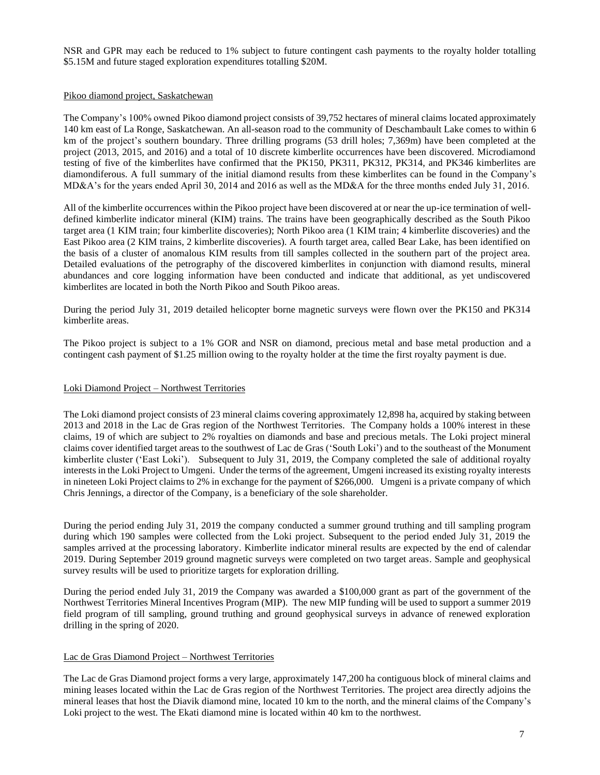NSR and GPR may each be reduced to 1% subject to future contingent cash payments to the royalty holder totalling \$5.15M and future staged exploration expenditures totalling \$20M.

### Pikoo diamond project, Saskatchewan

The Company's 100% owned Pikoo diamond project consists of 39,752 hectares of mineral claims located approximately 140 km east of La Ronge, Saskatchewan. An all-season road to the community of Deschambault Lake comes to within 6 km of the project's southern boundary. Three drilling programs (53 drill holes; 7,369m) have been completed at the project (2013, 2015, and 2016) and a total of 10 discrete kimberlite occurrences have been discovered. Microdiamond testing of five of the kimberlites have confirmed that the PK150, PK311, PK312, PK314, and PK346 kimberlites are diamondiferous. A full summary of the initial diamond results from these kimberlites can be found in the Company's MD&A's for the years ended April 30, 2014 and 2016 as well as the MD&A for the three months ended July 31, 2016.

All of the kimberlite occurrences within the Pikoo project have been discovered at or near the up-ice termination of welldefined kimberlite indicator mineral (KIM) trains. The trains have been geographically described as the South Pikoo target area (1 KIM train; four kimberlite discoveries); North Pikoo area (1 KIM train; 4 kimberlite discoveries) and the East Pikoo area (2 KIM trains, 2 kimberlite discoveries). A fourth target area, called Bear Lake, has been identified on the basis of a cluster of anomalous KIM results from till samples collected in the southern part of the project area. Detailed evaluations of the petrography of the discovered kimberlites in conjunction with diamond results, mineral abundances and core logging information have been conducted and indicate that additional, as yet undiscovered kimberlites are located in both the North Pikoo and South Pikoo areas.

During the period July 31, 2019 detailed helicopter borne magnetic surveys were flown over the PK150 and PK314 kimberlite areas.

The Pikoo project is subject to a 1% GOR and NSR on diamond, precious metal and base metal production and a contingent cash payment of \$1.25 million owing to the royalty holder at the time the first royalty payment is due.

### Loki Diamond Project – Northwest Territories

The Loki diamond project consists of 23 mineral claims covering approximately 12,898 ha, acquired by staking between 2013 and 2018 in the Lac de Gras region of the Northwest Territories. The Company holds a 100% interest in these claims, 19 of which are subject to 2% royalties on diamonds and base and precious metals. The Loki project mineral claims cover identified target areas to the southwest of Lac de Gras ('South Loki') and to the southeast of the Monument kimberlite cluster ('East Loki'). Subsequent to July 31, 2019, the Company completed the sale of additional royalty interests in the Loki Project to Umgeni. Under the terms of the agreement, Umgeni increased its existing royalty interests in nineteen Loki Project claims to 2% in exchange for the payment of \$266,000. Umgeni is a private company of which Chris Jennings, a director of the Company, is a beneficiary of the sole shareholder.

During the period ending July 31, 2019 the company conducted a summer ground truthing and till sampling program during which 190 samples were collected from the Loki project. Subsequent to the period ended July 31, 2019 the samples arrived at the processing laboratory. Kimberlite indicator mineral results are expected by the end of calendar 2019. During September 2019 ground magnetic surveys were completed on two target areas. Sample and geophysical survey results will be used to prioritize targets for exploration drilling.

During the period ended July 31, 2019 the Company was awarded a \$100,000 grant as part of the government of the Northwest Territories Mineral Incentives Program (MIP). The new MIP funding will be used to support a summer 2019 field program of till sampling, ground truthing and ground geophysical surveys in advance of renewed exploration drilling in the spring of 2020.

# Lac de Gras Diamond Project – Northwest Territories

The Lac de Gras Diamond project forms a very large, approximately 147,200 ha contiguous block of mineral claims and mining leases located within the Lac de Gras region of the Northwest Territories. The project area directly adjoins the mineral leases that host the Diavik diamond mine, located 10 km to the north, and the mineral claims of the Company's Loki project to the west. The Ekati diamond mine is located within 40 km to the northwest.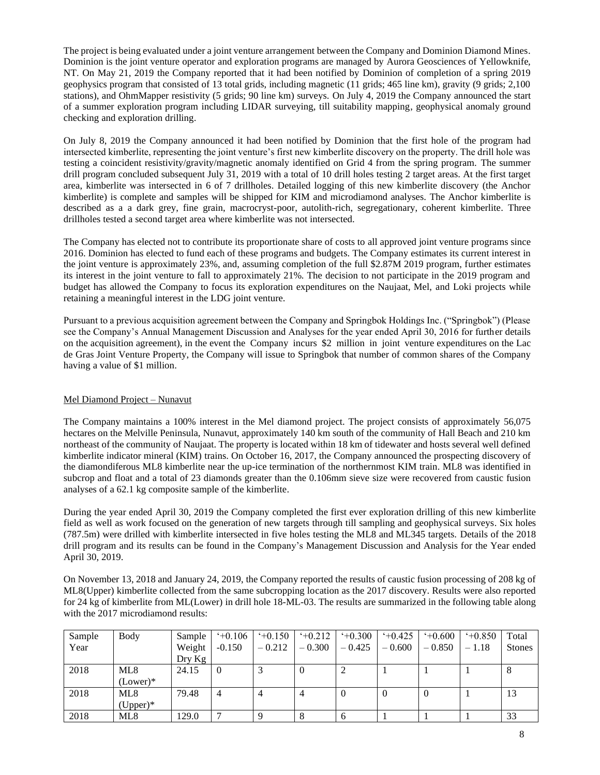The project is being evaluated under a joint venture arrangement between the Company and Dominion Diamond Mines. Dominion is the joint venture operator and exploration programs are managed by Aurora Geosciences of Yellowknife, NT. On May 21, 2019 the Company reported that it had been notified by Dominion of completion of a spring 2019 geophysics program that consisted of 13 total grids, including magnetic (11 grids; 465 line km), gravity (9 grids; 2,100 stations), and OhmMapper resistivity (5 grids; 90 line km) surveys. On July 4, 2019 the Company announced the start of a summer exploration program including LIDAR surveying, till suitability mapping, geophysical anomaly ground checking and exploration drilling.

On July 8, 2019 the Company announced it had been notified by Dominion that the first hole of the program had intersected kimberlite, representing the joint venture's first new kimberlite discovery on the property. The drill hole was testing a coincident resistivity/gravity/magnetic anomaly identified on Grid 4 from the spring program. The summer drill program concluded subsequent July 31, 2019 with a total of 10 drill holes testing 2 target areas. At the first target area, kimberlite was intersected in 6 of 7 drillholes. Detailed logging of this new kimberlite discovery (the Anchor kimberlite) is complete and samples will be shipped for KIM and microdiamond analyses. The Anchor kimberlite is described as a a dark grey, fine grain, macrocryst-poor, autolith-rich, segregationary, coherent kimberlite. Three drillholes tested a second target area where kimberlite was not intersected.

The Company has elected not to contribute its proportionate share of costs to all approved joint venture programs since 2016. Dominion has elected to fund each of these programs and budgets. The Company estimates its current interest in the joint venture is approximately 23%, and, assuming completion of the full \$2.87M 2019 program, further estimates its interest in the joint venture to fall to approximately 21%. The decision to not participate in the 2019 program and budget has allowed the Company to focus its exploration expenditures on the Naujaat, Mel, and Loki projects while retaining a meaningful interest in the LDG joint venture.

Pursuant to a previous acquisition agreement between the Company and Springbok Holdings Inc. ("Springbok") (Please see the Company's Annual Management Discussion and Analyses for the year ended April 30, 2016 for further details on the acquisition agreement), in the event the Company incurs \$2 million in joint venture expenditures on the Lac de Gras Joint Venture Property, the Company will issue to Springbok that number of common shares of the Company having a value of \$1 million.

# Mel Diamond Project – Nunavut

The Company maintains a 100% interest in the Mel diamond project. The project consists of approximately 56,075 hectares on the Melville Peninsula, Nunavut, approximately 140 km south of the community of Hall Beach and 210 km northeast of the community of Naujaat. The property is located within 18 km of tidewater and hosts several well defined kimberlite indicator mineral (KIM) trains. On October 16, 2017, the Company announced the prospecting discovery of the diamondiferous ML8 kimberlite near the up-ice termination of the northernmost KIM train. ML8 was identified in subcrop and float and a total of 23 diamonds greater than the 0.106mm sieve size were recovered from caustic fusion analyses of a 62.1 kg composite sample of the kimberlite.

During the year ended April 30, 2019 the Company completed the first ever exploration drilling of this new kimberlite field as well as work focused on the generation of new targets through till sampling and geophysical surveys. Six holes (787.5m) were drilled with kimberlite intersected in five holes testing the ML8 and ML345 targets. Details of the 2018 drill program and its results can be found in the Company's Management Discussion and Analysis for the Year ended April 30, 2019.

On November 13, 2018 and January 24, 2019, the Company reported the results of caustic fusion processing of 208 kg of ML8(Upper) kimberlite collected from the same subcropping location as the 2017 discovery. Results were also reported for 24 kg of kimberlite from ML(Lower) in drill hole 18-ML-03. The results are summarized in the following table along with the 2017 microdiamond results:

| Sample | Body       | Sample | $+0.106$       | $+0.150$ | $+0.212$ | $+0.300$       | $+0.425$ | $+0.600$ | $+0.850$ | Total         |
|--------|------------|--------|----------------|----------|----------|----------------|----------|----------|----------|---------------|
| Year   |            | Weight | $-0.150$       | $-0.212$ | $-0.300$ | $-0.425$       | $-0.600$ | $-0.850$ | $-1.18$  | <b>Stones</b> |
|        |            | Dry Kg |                |          |          |                |          |          |          |               |
| 2018   | ML8        | 24.15  | $\overline{0}$ |          | $\Omega$ | ∠              |          |          |          | 8             |
|        | $(Lower)*$ |        |                |          |          |                |          |          |          |               |
| 2018   | ML8        | 79.48  | 4              |          | 4        | $\overline{0}$ | $\theta$ | $\theta$ |          | 13            |
|        | $(Upper)*$ |        |                |          |          |                |          |          |          |               |
| 2018   | ML8        | 129.0  | −              |          | 8        | 6              |          |          |          | 33            |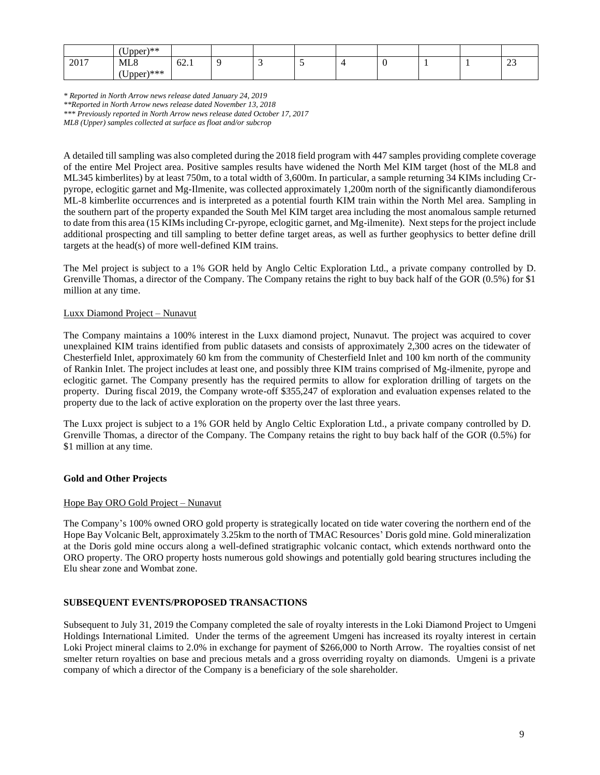|      | $J_{\text{pper}}$ <sup>**</sup> |      |  |   |  |  |                   |
|------|---------------------------------|------|--|---|--|--|-------------------|
| 2017 | ML <sub>8</sub>                 | 62.1 |  | - |  |  | $\sim$<br>ت<br>__ |
|      | $[nner]***$<br><b>UDU</b><br>.  |      |  |   |  |  |                   |

*\* Reported in North Arrow news release dated January 24, 2019*

*ML8 (Upper) samples collected at surface as float and/or subcrop*

A detailed till sampling was also completed during the 2018 field program with 447 samples providing complete coverage of the entire Mel Project area. Positive samples results have widened the North Mel KIM target (host of the ML8 and ML345 kimberlites) by at least 750m, to a total width of 3,600m. In particular, a sample returning 34 KIMs including Crpyrope, eclogitic garnet and Mg-Ilmenite, was collected approximately 1,200m north of the significantly diamondiferous ML-8 kimberlite occurrences and is interpreted as a potential fourth KIM train within the North Mel area. Sampling in the southern part of the property expanded the South Mel KIM target area including the most anomalous sample returned to date from this area (15 KIMsincluding Cr-pyrope, eclogitic garnet, and Mg-ilmenite). Next steps for the project include additional prospecting and till sampling to better define target areas, as well as further geophysics to better define drill targets at the head(s) of more well-defined KIM trains.

The Mel project is subject to a 1% GOR held by Anglo Celtic Exploration Ltd., a private company controlled by D. Grenville Thomas, a director of the Company. The Company retains the right to buy back half of the GOR (0.5%) for \$1 million at any time.

### Luxx Diamond Project – Nunavut

The Company maintains a 100% interest in the Luxx diamond project, Nunavut. The project was acquired to cover unexplained KIM trains identified from public datasets and consists of approximately 2,300 acres on the tidewater of Chesterfield Inlet, approximately 60 km from the community of Chesterfield Inlet and 100 km north of the community of Rankin Inlet. The project includes at least one, and possibly three KIM trains comprised of Mg-ilmenite, pyrope and eclogitic garnet. The Company presently has the required permits to allow for exploration drilling of targets on the property. During fiscal 2019, the Company wrote-off \$355,247 of exploration and evaluation expenses related to the property due to the lack of active exploration on the property over the last three years.

The Luxx project is subject to a 1% GOR held by Anglo Celtic Exploration Ltd., a private company controlled by D. Grenville Thomas, a director of the Company. The Company retains the right to buy back half of the GOR (0.5%) for \$1 million at any time.

# **Gold and Other Projects**

# Hope Bay ORO Gold Project – Nunavut

The Company's 100% owned ORO gold property is strategically located on tide water covering the northern end of the Hope Bay Volcanic Belt, approximately 3.25km to the north of TMAC Resources' Doris gold mine. Gold mineralization at the Doris gold mine occurs along a well-defined stratigraphic volcanic contact, which extends northward onto the ORO property. The ORO property hosts numerous gold showings and potentially gold bearing structures including the Elu shear zone and Wombat zone.

# **SUBSEQUENT EVENTS/PROPOSED TRANSACTIONS**

Subsequent to July 31, 2019 the Company completed the sale of royalty interests in the Loki Diamond Project to Umgeni Holdings International Limited. Under the terms of the agreement Umgeni has increased its royalty interest in certain Loki Project mineral claims to 2.0% in exchange for payment of \$266,000 to North Arrow. The royalties consist of net smelter return royalties on base and precious metals and a gross overriding royalty on diamonds. Umgeni is a private company of which a director of the Company is a beneficiary of the sole shareholder.

*<sup>\*\*</sup>Reported in North Arrow news release dated November 13, 2018 \*\*\* Previously reported in North Arrow news release dated October 17, 2017*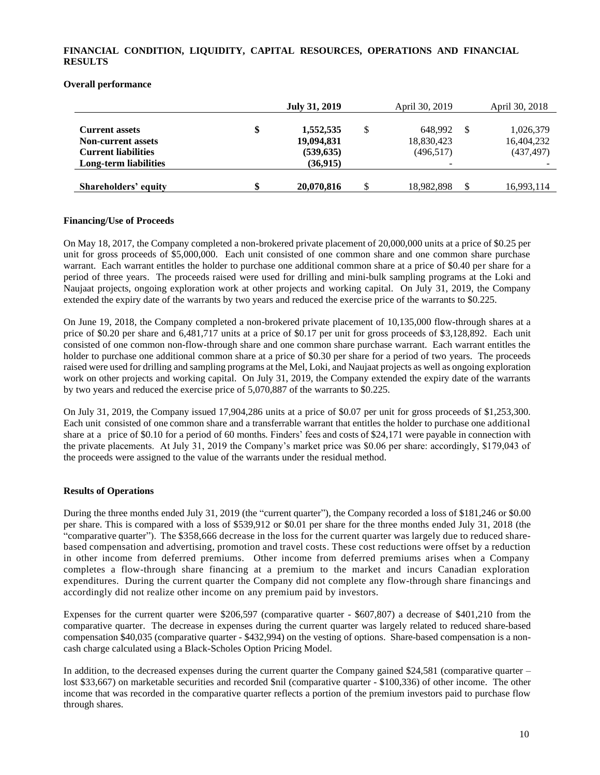# **FINANCIAL CONDITION, LIQUIDITY, CAPITAL RESOURCES, OPERATIONS AND FINANCIAL RESULTS**

### **Overall performance**

|                                                                                  | <b>July 31, 2019</b>                        |    | April 30, 2019                     | April 30, 2018                        |
|----------------------------------------------------------------------------------|---------------------------------------------|----|------------------------------------|---------------------------------------|
| <b>Current assets</b><br><b>Non-current assets</b><br><b>Current liabilities</b> | \$<br>1,552,535<br>19,094,831<br>(539, 635) | \$ | 648.992<br>18,830,423<br>(496,517) | 1,026,379<br>16,404,232<br>(437, 497) |
| Long-term liabilities                                                            | (36, 915)                                   |    | $\overline{\phantom{0}}$           |                                       |
| Shareholders' equity                                                             | \$<br>20,070,816                            | S  | 18,982,898                         | 16,993,114                            |

### **Financing/Use of Proceeds**

On May 18, 2017, the Company completed a non-brokered private placement of 20,000,000 units at a price of \$0.25 per unit for gross proceeds of \$5,000,000. Each unit consisted of one common share and one common share purchase warrant. Each warrant entitles the holder to purchase one additional common share at a price of \$0.40 per share for a period of three years. The proceeds raised were used for drilling and mini-bulk sampling programs at the Loki and Naujaat projects, ongoing exploration work at other projects and working capital. On July 31, 2019, the Company extended the expiry date of the warrants by two years and reduced the exercise price of the warrants to \$0.225.

On June 19, 2018, the Company completed a non-brokered private placement of 10,135,000 flow-through shares at a price of \$0.20 per share and 6,481,717 units at a price of \$0.17 per unit for gross proceeds of \$3,128,892. Each unit consisted of one common non-flow-through share and one common share purchase warrant. Each warrant entitles the holder to purchase one additional common share at a price of \$0.30 per share for a period of two years. The proceeds raised were used for drilling and sampling programs at the Mel, Loki, and Naujaat projects as well as ongoing exploration work on other projects and working capital. On July 31, 2019, the Company extended the expiry date of the warrants by two years and reduced the exercise price of 5,070,887 of the warrants to \$0.225.

On July 31, 2019, the Company issued 17,904,286 units at a price of \$0.07 per unit for gross proceeds of \$1,253,300. Each unit consisted of one common share and a transferrable warrant that entitles the holder to purchase one additional share at a price of \$0.10 for a period of 60 months. Finders' fees and costs of \$24,171 were payable in connection with the private placements. At July 31, 2019 the Company's market price was \$0.06 per share: accordingly, \$179,043 of the proceeds were assigned to the value of the warrants under the residual method.

# **Results of Operations**

During the three months ended July 31, 2019 (the "current quarter"), the Company recorded a loss of \$181,246 or \$0.00 per share. This is compared with a loss of \$539,912 or \$0.01 per share for the three months ended July 31, 2018 (the "comparative quarter"). The \$358,666 decrease in the loss for the current quarter was largely due to reduced sharebased compensation and advertising, promotion and travel costs. These cost reductions were offset by a reduction in other income from deferred premiums. Other income from deferred premiums arises when a Company completes a flow-through share financing at a premium to the market and incurs Canadian exploration expenditures. During the current quarter the Company did not complete any flow-through share financings and accordingly did not realize other income on any premium paid by investors.

Expenses for the current quarter were \$206,597 (comparative quarter - \$607,807) a decrease of \$401,210 from the comparative quarter. The decrease in expenses during the current quarter was largely related to reduced share-based compensation \$40,035 (comparative quarter - \$432,994) on the vesting of options. Share-based compensation is a noncash charge calculated using a Black-Scholes Option Pricing Model.

In addition, to the decreased expenses during the current quarter the Company gained \$24,581 (comparative quarter – lost \$33,667) on marketable securities and recorded \$nil (comparative quarter - \$100,336) of other income. The other income that was recorded in the comparative quarter reflects a portion of the premium investors paid to purchase flow through shares.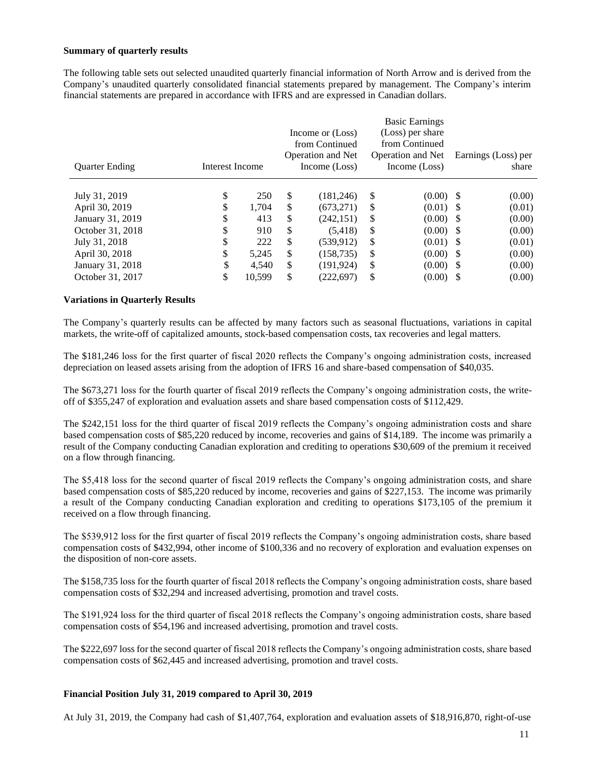#### **Summary of quarterly results**

The following table sets out selected unaudited quarterly financial information of North Arrow and is derived from the Company's unaudited quarterly consolidated financial statements prepared by management. The Company's interim financial statements are prepared in accordance with IFRS and are expressed in Canadian dollars.

| <b>Ouarter Ending</b><br>Interest Income |    |        |     | Income or (Loss)<br>from Continued<br><b>Operation and Net</b><br>Income (Loss) |               | <b>Basic Earnings</b><br>(Loss) per share<br>from Continued<br>Operation and Net<br>Income (Loss) | Earnings (Loss) per<br>share |        |  |
|------------------------------------------|----|--------|-----|---------------------------------------------------------------------------------|---------------|---------------------------------------------------------------------------------------------------|------------------------------|--------|--|
| July 31, 2019                            | \$ | 250    | \$  | (181, 246)                                                                      | <sup>\$</sup> | $(0.00)$ \$                                                                                       |                              | (0.00) |  |
| April 30, 2019                           | \$ | 1.704  | \$. | (673.271)                                                                       | <sup>\$</sup> | $(0.01)$ \$                                                                                       |                              | (0.01) |  |
| January 31, 2019                         | \$ | 413    | \$  | (242, 151)                                                                      | <sup>\$</sup> | $(0.00)$ \$                                                                                       |                              | (0.00) |  |
| October 31, 2018                         | \$ | 910    | \$. | (5,418)                                                                         | <sup>\$</sup> | $(0.00)$ \$                                                                                       |                              | (0.00) |  |
| July 31, 2018                            | \$ | 222    | \$  | (539, 912)                                                                      | <sup>\$</sup> | $(0.01)$ \$                                                                                       |                              | (0.01) |  |
| April 30, 2018                           | \$ | 5,245  | \$. | (158, 735)                                                                      | <sup>\$</sup> | $(0.00)$ \$                                                                                       |                              | (0.00) |  |
| January 31, 2018                         | \$ | 4.540  | \$  | (191, 924)                                                                      | <sup>\$</sup> | $(0.00)$ \$                                                                                       |                              | (0.00) |  |
| October 31, 2017                         | \$ | 10,599 | \$  | (222, 697)                                                                      | \$            | $(0.00)$ \$                                                                                       |                              | (0.00) |  |

### **Variations in Quarterly Results**

The Company's quarterly results can be affected by many factors such as seasonal fluctuations, variations in capital markets, the write-off of capitalized amounts, stock-based compensation costs, tax recoveries and legal matters.

The \$181,246 loss for the first quarter of fiscal 2020 reflects the Company's ongoing administration costs, increased depreciation on leased assets arising from the adoption of IFRS 16 and share-based compensation of \$40,035.

The \$673,271 loss for the fourth quarter of fiscal 2019 reflects the Company's ongoing administration costs, the writeoff of \$355,247 of exploration and evaluation assets and share based compensation costs of \$112,429.

The \$242,151 loss for the third quarter of fiscal 2019 reflects the Company's ongoing administration costs and share based compensation costs of \$85,220 reduced by income, recoveries and gains of \$14,189. The income was primarily a result of the Company conducting Canadian exploration and crediting to operations \$30,609 of the premium it received on a flow through financing.

The \$5,418 loss for the second quarter of fiscal 2019 reflects the Company's ongoing administration costs, and share based compensation costs of \$85,220 reduced by income, recoveries and gains of \$227,153. The income was primarily a result of the Company conducting Canadian exploration and crediting to operations \$173,105 of the premium it received on a flow through financing.

The \$539,912 loss for the first quarter of fiscal 2019 reflects the Company's ongoing administration costs, share based compensation costs of \$432,994, other income of \$100,336 and no recovery of exploration and evaluation expenses on the disposition of non-core assets.

The \$158,735 loss for the fourth quarter of fiscal 2018 reflects the Company's ongoing administration costs, share based compensation costs of \$32,294 and increased advertising, promotion and travel costs.

The \$191,924 loss for the third quarter of fiscal 2018 reflects the Company's ongoing administration costs, share based compensation costs of \$54,196 and increased advertising, promotion and travel costs.

The \$222,697 loss for the second quarter of fiscal 2018 reflects the Company's ongoing administration costs, share based compensation costs of \$62,445 and increased advertising, promotion and travel costs.

# **Financial Position July 31, 2019 compared to April 30, 2019**

At July 31, 2019, the Company had cash of \$1,407,764, exploration and evaluation assets of \$18,916,870, right-of-use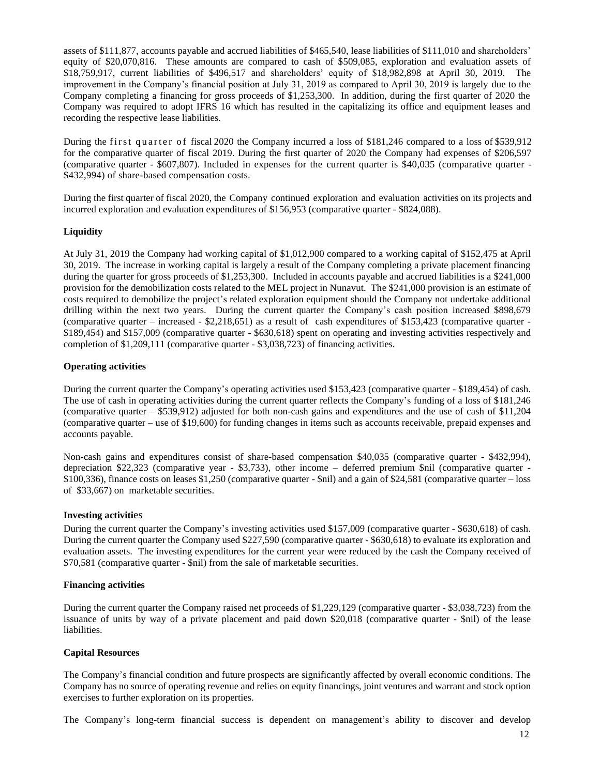assets of \$111,877, accounts payable and accrued liabilities of \$465,540, lease liabilities of \$111,010 and shareholders' equity of \$20,070,816. These amounts are compared to cash of \$509,085, exploration and evaluation assets of \$18,759,917, current liabilities of \$496,517 and shareholders' equity of \$18,982,898 at April 30, 2019. The improvement in the Company's financial position at July 31, 2019 as compared to April 30, 2019 is largely due to the Company completing a financing for gross proceeds of \$1,253,300. In addition, during the first quarter of 2020 the Company was required to adopt IFRS 16 which has resulted in the capitalizing its office and equipment leases and recording the respective lease liabilities.

During the first quarter of fiscal 2020 the Company incurred a loss of \$181,246 compared to a loss of \$539,912 for the comparative quarter of fiscal 2019. During the first quarter of 2020 the Company had expenses of \$206,597 (comparative quarter - \$607,807). Included in expenses for the current quarter is \$40,035 (comparative quarter - \$432,994) of share-based compensation costs.

During the first quarter of fiscal 2020, the Company continued exploration and evaluation activities on its projects and incurred exploration and evaluation expenditures of \$156,953 (comparative quarter - \$824,088).

### **Liquidity**

At July 31, 2019 the Company had working capital of \$1,012,900 compared to a working capital of \$152,475 at April 30, 2019. The increase in working capital is largely a result of the Company completing a private placement financing during the quarter for gross proceeds of \$1,253,300. Included in accounts payable and accrued liabilities is a \$241,000 provision for the demobilization costs related to the MEL project in Nunavut. The \$241,000 provision is an estimate of costs required to demobilize the project's related exploration equipment should the Company not undertake additional drilling within the next two years. During the current quarter the Company's cash position increased \$898,679 (comparative quarter – increased - \$2,218,651) as a result of cash expenditures of \$153,423 (comparative quarter - \$189,454) and \$157,009 (comparative quarter - \$630,618) spent on operating and investing activities respectively and completion of \$1,209,111 (comparative quarter - \$3,038,723) of financing activities.

#### **Operating activities**

During the current quarter the Company's operating activities used \$153,423 (comparative quarter - \$189,454) of cash. The use of cash in operating activities during the current quarter reflects the Company's funding of a loss of \$181,246 (comparative quarter – \$539,912) adjusted for both non-cash gains and expenditures and the use of cash of \$11,204 (comparative quarter – use of \$19,600) for funding changes in items such as accounts receivable, prepaid expenses and accounts payable.

Non-cash gains and expenditures consist of share-based compensation \$40,035 (comparative quarter - \$432,994), depreciation \$22,323 (comparative year - \$3,733), other income – deferred premium \$nil (comparative quarter - \$100,336), finance costs on leases \$1,250 (comparative quarter - \$nil) and a gain of \$24,581 (comparative quarter – loss of \$33,667) on marketable securities.

#### **Investing activiti**es

During the current quarter the Company's investing activities used \$157,009 (comparative quarter - \$630,618) of cash. During the current quarter the Company used \$227,590 (comparative quarter - \$630,618) to evaluate its exploration and evaluation assets. The investing expenditures for the current year were reduced by the cash the Company received of \$70,581 (comparative quarter - \$nil) from the sale of marketable securities.

#### **Financing activities**

During the current quarter the Company raised net proceeds of \$1,229,129 (comparative quarter - \$3,038,723) from the issuance of units by way of a private placement and paid down \$20,018 (comparative quarter - \$nil) of the lease liabilities.

#### **Capital Resources**

The Company's financial condition and future prospects are significantly affected by overall economic conditions. The Company has no source of operating revenue and relies on equity financings, joint ventures and warrant and stock option exercises to further exploration on its properties.

The Company's long-term financial success is dependent on management's ability to discover and develop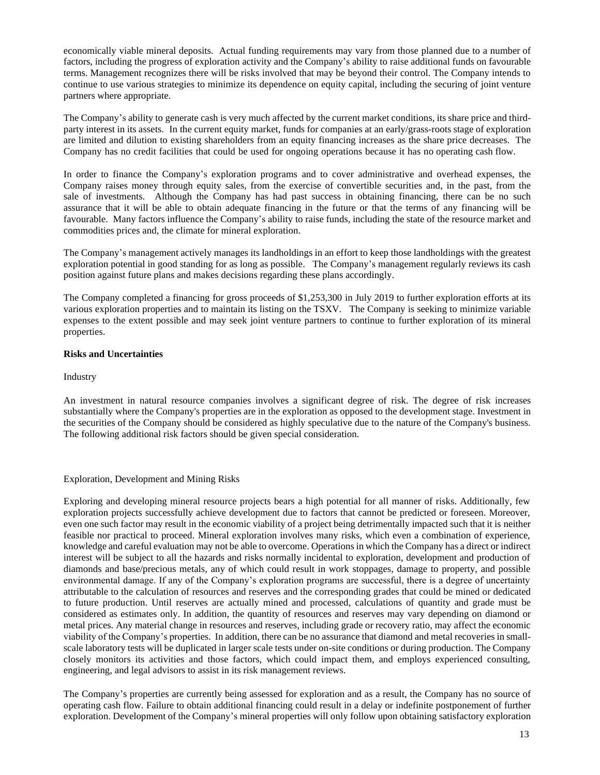economically viable mineral deposits. Actual funding requirements may vary from those planned due to a number of factors, including the progress of exploration activity and the Company's ability to raise additional funds on favourable terms. Management recognizes there will be risks involved that may be beyond their control. The Company intends to continue to use various strategies to minimize its dependence on equity capital, including the securing of joint venture partners where appropriate.

The Company's ability to generate cash is very much affected by the current market conditions, its share price and thirdparty interest in its assets. In the current equity market, funds for companies at an early/grass-roots stage of exploration are limited and dilution to existing shareholders from an equity financing increases as the share price decreases. The Company has no credit facilities that could be used for ongoing operations because it has no operating cash flow.

In order to finance the Company's exploration programs and to cover administrative and overhead expenses, the Company raises money through equity sales, from the exercise of convertible securities and, in the past, from the sale of investments. Although the Company has had past success in obtaining financing, there can be no such assurance that it will be able to obtain adequate financing in the future or that the terms of any financing will be favourable. Many factors influence the Company's ability to raise funds, including the state of the resource market and commodities prices and, the climate for mineral exploration.

The Company's management actively manages its landholdings in an effort to keep those landholdings with the greatest exploration potential in good standing for as long as possible. The Company's management regularly reviews its cash position against future plans and makes decisions regarding these plans accordingly.

The Company completed a financing for gross proceeds of \$1,253,300 in July 2019 to further exploration efforts at its various exploration properties and to maintain its listing on the TSXV. The Company is seeking to minimize variable expenses to the extent possible and may seek joint venture partners to continue to further exploration of its mineral properties.

### **Risks and Uncertainties**

### Industry

An investment in natural resource companies involves a significant degree of risk. The degree of risk increases substantially where the Company's properties are in the exploration as opposed to the development stage. Investment in the securities of the Company should be considered as highly speculative due to the nature of the Company's business. The following additional risk factors should be given special consideration.

# Exploration, Development and Mining Risks

Exploring and developing mineral resource projects bears a high potential for all manner of risks. Additionally, few exploration projects successfully achieve development due to factors that cannot be predicted or foreseen. Moreover, even one such factor may result in the economic viability of a project being detrimentally impacted such that it is neither feasible nor practical to proceed. Mineral exploration involves many risks, which even a combination of experience, knowledge and careful evaluation may not be able to overcome. Operations in which the Company has a direct or indirect interest will be subject to all the hazards and risks normally incidental to exploration, development and production of diamonds and base/precious metals, any of which could result in work stoppages, damage to property, and possible environmental damage. If any of the Company's exploration programs are successful, there is a degree of uncertainty attributable to the calculation of resources and reserves and the corresponding grades that could be mined or dedicated to future production. Until reserves are actually mined and processed, calculations of quantity and grade must be considered as estimates only. In addition, the quantity of resources and reserves may vary depending on diamond or metal prices. Any material change in resources and reserves, including grade or recovery ratio, may affect the economic viability of the Company's properties. In addition, there can be no assurance that diamond and metal recoveries in smallscale laboratory tests will be duplicated in larger scale tests under on-site conditions or during production. The Company closely monitors its activities and those factors, which could impact them, and employs experienced consulting, engineering, and legal advisors to assist in its risk management reviews.

The Company's properties are currently being assessed for exploration and as a result, the Company has no source of operating cash flow. Failure to obtain additional financing could result in a delay or indefinite postponement of further exploration. Development of the Company's mineral properties will only follow upon obtaining satisfactory exploration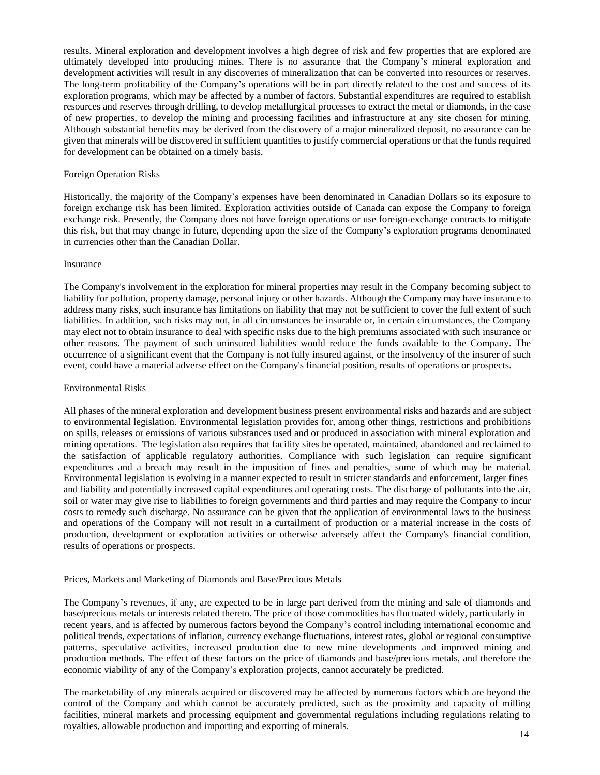results. Mineral exploration and development involves a high degree of risk and few properties that are explored are ultimately developed into producing mines. There is no assurance that the Company's mineral exploration and development activities will result in any discoveries of mineralization that can be converted into resources or reserves. The long-term profitability of the Company's operations will be in part directly related to the cost and success of its exploration programs, which may be affected by a number of factors. Substantial expenditures are required to establish resources and reserves through drilling, to develop metallurgical processes to extract the metal or diamonds, in the case of new properties, to develop the mining and processing facilities and infrastructure at any site chosen for mining. Although substantial benefits may be derived from the discovery of a major mineralized deposit, no assurance can be given that minerals will be discovered in sufficient quantities to justify commercial operations or that the funds required for development can be obtained on a timely basis.

#### Foreign Operation Risks

Historically, the majority of the Company's expenses have been denominated in Canadian Dollars so its exposure to foreign exchange risk has been limited. Exploration activities outside of Canada can expose the Company to foreign exchange risk. Presently, the Company does not have foreign operations or use foreign-exchange contracts to mitigate this risk, but that may change in future, depending upon the size of the Company's exploration programs denominated in currencies other than the Canadian Dollar.

#### Insurance

The Company's involvement in the exploration for mineral properties may result in the Company becoming subject to liability for pollution, property damage, personal injury or other hazards. Although the Company may have insurance to address many risks, such insurance has limitations on liability that may not be sufficient to cover the full extent of such liabilities. In addition, such risks may not, in all circumstances be insurable or, in certain circumstances, the Company may elect not to obtain insurance to deal with specific risks due to the high premiums associated with such insurance or other reasons. The payment of such uninsured liabilities would reduce the funds available to the Company. The occurrence of a significant event that the Company is not fully insured against, or the insolvency of the insurer of such event, could have a material adverse effect on the Company's financial position, results of operations or prospects.

#### Environmental Risks

All phases of the mineral exploration and development business present environmental risks and hazards and are subject to environmental legislation. Environmental legislation provides for, among other things, restrictions and prohibitions on spills, releases or emissions of various substances used and or produced in association with mineral exploration and mining operations. The legislation also requires that facility sites be operated, maintained, abandoned and reclaimed to the satisfaction of applicable regulatory authorities. Compliance with such legislation can require significant expenditures and a breach may result in the imposition of fines and penalties, some of which may be material. Environmental legislation is evolving in a manner expected to result in stricter standards and enforcement, larger fines and liability and potentially increased capital expenditures and operating costs. The discharge of pollutants into the air, soil or water may give rise to liabilities to foreign governments and third parties and may require the Company to incur costs to remedy such discharge. No assurance can be given that the application of environmental laws to the business and operations of the Company will not result in a curtailment of production or a material increase in the costs of production, development or exploration activities or otherwise adversely affect the Company's financial condition, results of operations or prospects.

#### Prices, Markets and Marketing of Diamonds and Base/Precious Metals

The Company's revenues, if any, are expected to be in large part derived from the mining and sale of diamonds and base/precious metals or interests related thereto. The price of those commodities has fluctuated widely, particularly in recent years, and is affected by numerous factors beyond the Company's control including international economic and political trends, expectations of inflation, currency exchange fluctuations, interest rates, global or regional consumptive patterns, speculative activities, increased production due to new mine developments and improved mining and production methods. The effect of these factors on the price of diamonds and base/precious metals, and therefore the economic viability of any of the Company's exploration projects, cannot accurately be predicted.

The marketability of any minerals acquired or discovered may be affected by numerous factors which are beyond the control of the Company and which cannot be accurately predicted, such as the proximity and capacity of milling facilities, mineral markets and processing equipment and governmental regulations including regulations relating to royalties, allowable production and importing and exporting of minerals.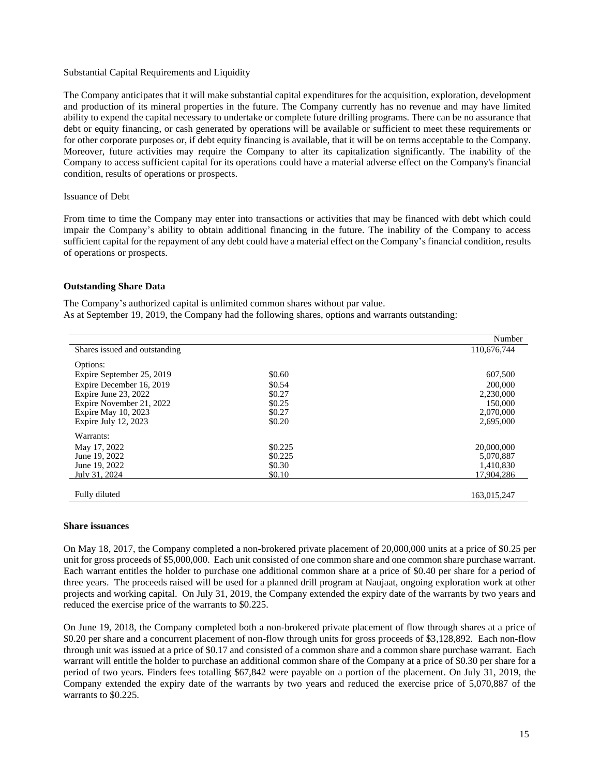#### Substantial Capital Requirements and Liquidity

The Company anticipates that it will make substantial capital expenditures for the acquisition, exploration, development and production of its mineral properties in the future. The Company currently has no revenue and may have limited ability to expend the capital necessary to undertake or complete future drilling programs. There can be no assurance that debt or equity financing, or cash generated by operations will be available or sufficient to meet these requirements or for other corporate purposes or, if debt equity financing is available, that it will be on terms acceptable to the Company. Moreover, future activities may require the Company to alter its capitalization significantly. The inability of the Company to access sufficient capital for its operations could have a material adverse effect on the Company's financial condition, results of operations or prospects.

#### Issuance of Debt

From time to time the Company may enter into transactions or activities that may be financed with debt which could impair the Company's ability to obtain additional financing in the future. The inability of the Company to access sufficient capital for the repayment of any debt could have a material effect on the Company's financial condition, results of operations or prospects.

#### **Outstanding Share Data**

The Company's authorized capital is unlimited common shares without par value. As at September 19, 2019, the Company had the following shares, options and warrants outstanding:

|                               |         | Number      |
|-------------------------------|---------|-------------|
| Shares issued and outstanding |         | 110,676,744 |
| Options:                      |         |             |
| Expire September 25, 2019     | \$0.60  | 607,500     |
| Expire December 16, 2019      | \$0.54  | 200,000     |
| Expire June 23, 2022          | \$0.27  | 2,230,000   |
| Expire November 21, 2022      | \$0.25  | 150,000     |
| Expire May 10, 2023           | \$0.27  | 2,070,000   |
| Expire July $12, 2023$        | \$0.20  | 2,695,000   |
| Warrants:                     |         |             |
| May 17, 2022                  | \$0.225 | 20,000,000  |
| June 19, 2022                 | \$0.225 | 5,070,887   |
| June 19, 2022                 | \$0.30  | 1,410,830   |
| July 31, 2024                 | \$0.10  | 17.904.286  |
|                               |         |             |
| Fully diluted                 |         | 163,015,247 |

#### **Share issuances**

On May 18, 2017, the Company completed a non-brokered private placement of 20,000,000 units at a price of \$0.25 per unit for gross proceeds of \$5,000,000. Each unit consisted of one common share and one common share purchase warrant. Each warrant entitles the holder to purchase one additional common share at a price of \$0.40 per share for a period of three years. The proceeds raised will be used for a planned drill program at Naujaat, ongoing exploration work at other projects and working capital. On July 31, 2019, the Company extended the expiry date of the warrants by two years and reduced the exercise price of the warrants to \$0.225.

On June 19, 2018, the Company completed both a non-brokered private placement of flow through shares at a price of \$0.20 per share and a concurrent placement of non-flow through units for gross proceeds of \$3,128,892. Each non-flow through unit was issued at a price of \$0.17 and consisted of a common share and a common share purchase warrant. Each warrant will entitle the holder to purchase an additional common share of the Company at a price of \$0.30 per share for a period of two years. Finders fees totalling \$67,842 were payable on a portion of the placement. On July 31, 2019, the Company extended the expiry date of the warrants by two years and reduced the exercise price of 5,070,887 of the warrants to \$0.225.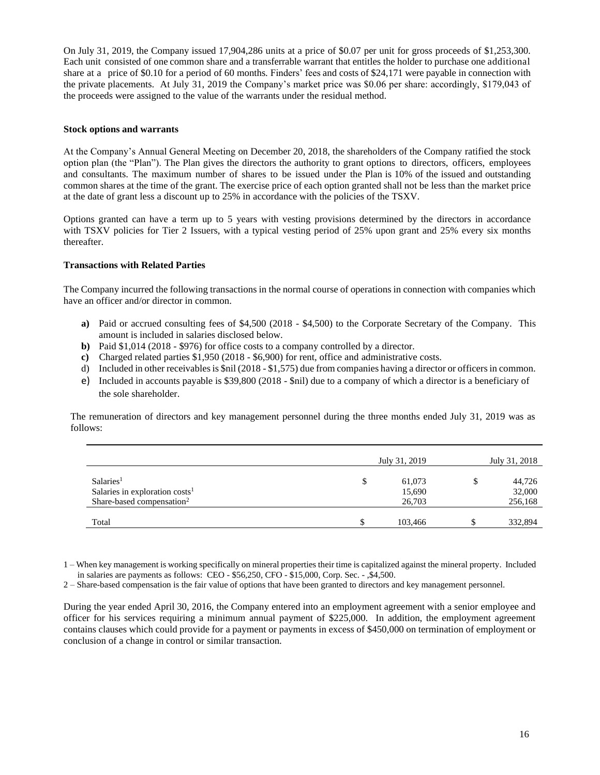On July 31, 2019, the Company issued 17,904,286 units at a price of \$0.07 per unit for gross proceeds of \$1,253,300. Each unit consisted of one common share and a transferrable warrant that entitles the holder to purchase one additional share at a price of \$0.10 for a period of 60 months. Finders' fees and costs of \$24,171 were payable in connection with the private placements. At July 31, 2019 the Company's market price was \$0.06 per share: accordingly, \$179,043 of the proceeds were assigned to the value of the warrants under the residual method.

### **Stock options and warrants**

At the Company's Annual General Meeting on December 20, 2018, the shareholders of the Company ratified the stock option plan (the "Plan"). The Plan gives the directors the authority to grant options to directors, officers, employees and consultants. The maximum number of shares to be issued under the Plan is 10% of the issued and outstanding common shares at the time of the grant. The exercise price of each option granted shall not be less than the market price at the date of grant less a discount up to 25% in accordance with the policies of the TSXV.

Options granted can have a term up to 5 years with vesting provisions determined by the directors in accordance with TSXV policies for Tier 2 Issuers, with a typical vesting period of 25% upon grant and 25% every six months thereafter.

### **Transactions with Related Parties**

The Company incurred the following transactions in the normal course of operations in connection with companies which have an officer and/or director in common.

- **a)** Paid or accrued consulting fees of \$4,500 (2018 \$4,500) to the Corporate Secretary of the Company. This amount is included in salaries disclosed below.
- **b)** Paid \$1,014 (2018 \$976) for office costs to a company controlled by a director.
- **c)** Charged related parties \$1,950 (2018 \$6,900) for rent, office and administrative costs.
- d) Included in other receivables is \$nil (2018 \$1,575) due from companies having a director or officers in common.
- e) Included in accounts payable is \$39,800 (2018 \$nil) due to a company of which a director is a beneficiary of the sole shareholder.

The remuneration of directors and key management personnel during the three months ended July 31, 2019 was as follows:

|                                       | July 31, 2019 | July 31, 2018 |
|---------------------------------------|---------------|---------------|
| Salaries <sup>1</sup>                 | \$<br>61,073  | \$<br>44,726  |
| Salaries in exploration $costs1$      | 15,690        | 32,000        |
| Share-based compensation <sup>2</sup> | 26,703        | 256,168       |
| Total                                 | 103,466       | 332,894       |

1 – When key management is working specifically on mineral properties their time is capitalized against the mineral property. Included in salaries are payments as follows: CEO - \$56,250, CFO - \$15,000, Corp. Sec. - ,\$4,500.

2 – Share-based compensation is the fair value of options that have been granted to directors and key management personnel.

During the year ended April 30, 2016, the Company entered into an employment agreement with a senior employee and officer for his services requiring a minimum annual payment of \$225,000. In addition, the employment agreement contains clauses which could provide for a payment or payments in excess of \$450,000 on termination of employment or conclusion of a change in control or similar transaction.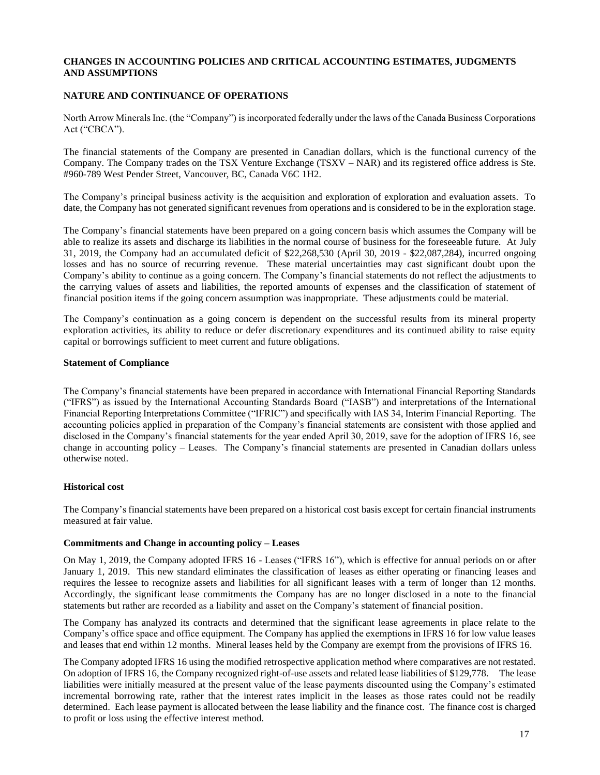# **CHANGES IN ACCOUNTING POLICIES AND CRITICAL ACCOUNTING ESTIMATES, JUDGMENTS AND ASSUMPTIONS**

# **NATURE AND CONTINUANCE OF OPERATIONS**

North Arrow Minerals Inc. (the "Company") is incorporated federally under the laws of the Canada Business Corporations Act ("CBCA").

The financial statements of the Company are presented in Canadian dollars, which is the functional currency of the Company. The Company trades on the TSX Venture Exchange (TSXV – NAR) and its registered office address is Ste. #960-789 West Pender Street, Vancouver, BC, Canada V6C 1H2.

The Company's principal business activity is the acquisition and exploration of exploration and evaluation assets. To date, the Company has not generated significant revenues from operations and is considered to be in the exploration stage.

The Company's financial statements have been prepared on a going concern basis which assumes the Company will be able to realize its assets and discharge its liabilities in the normal course of business for the foreseeable future. At July 31, 2019, the Company had an accumulated deficit of \$22,268,530 (April 30, 2019 - \$22,087,284), incurred ongoing losses and has no source of recurring revenue. These material uncertainties may cast significant doubt upon the Company's ability to continue as a going concern. The Company's financial statements do not reflect the adjustments to the carrying values of assets and liabilities, the reported amounts of expenses and the classification of statement of financial position items if the going concern assumption was inappropriate. These adjustments could be material.

The Company's continuation as a going concern is dependent on the successful results from its mineral property exploration activities, its ability to reduce or defer discretionary expenditures and its continued ability to raise equity capital or borrowings sufficient to meet current and future obligations.

### **Statement of Compliance**

The Company's financial statements have been prepared in accordance with International Financial Reporting Standards ("IFRS") as issued by the International Accounting Standards Board ("IASB") and interpretations of the International Financial Reporting Interpretations Committee ("IFRIC") and specifically with IAS 34, Interim Financial Reporting. The accounting policies applied in preparation of the Company's financial statements are consistent with those applied and disclosed in the Company's financial statements for the year ended April 30, 2019, save for the adoption of IFRS 16, see change in accounting policy – Leases. The Company's financial statements are presented in Canadian dollars unless otherwise noted.

# **Historical cost**

The Company's financial statements have been prepared on a historical cost basis except for certain financial instruments measured at fair value.

### **Commitments and Change in accounting policy – Leases**

On May 1, 2019, the Company adopted IFRS 16 - Leases ("IFRS 16"), which is effective for annual periods on or after January 1, 2019. This new standard eliminates the classification of leases as either operating or financing leases and requires the lessee to recognize assets and liabilities for all significant leases with a term of longer than 12 months. Accordingly, the significant lease commitments the Company has are no longer disclosed in a note to the financial statements but rather are recorded as a liability and asset on the Company's statement of financial position.

The Company has analyzed its contracts and determined that the significant lease agreements in place relate to the Company's office space and office equipment. The Company has applied the exemptions in IFRS 16 for low value leases and leases that end within 12 months. Mineral leases held by the Company are exempt from the provisions of IFRS 16.

The Company adopted IFRS 16 using the modified retrospective application method where comparatives are not restated. On adoption of IFRS 16, the Company recognized right-of-use assets and related lease liabilities of \$129,778. The lease liabilities were initially measured at the present value of the lease payments discounted using the Company's estimated incremental borrowing rate, rather that the interest rates implicit in the leases as those rates could not be readily determined. Each lease payment is allocated between the lease liability and the finance cost. The finance cost is charged to profit or loss using the effective interest method.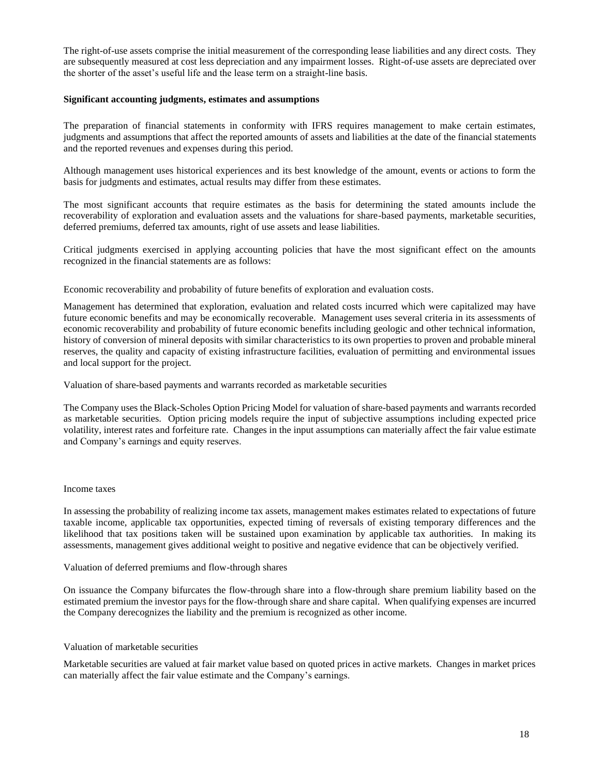The right-of-use assets comprise the initial measurement of the corresponding lease liabilities and any direct costs. They are subsequently measured at cost less depreciation and any impairment losses. Right-of-use assets are depreciated over the shorter of the asset's useful life and the lease term on a straight-line basis.

### **Significant accounting judgments, estimates and assumptions**

The preparation of financial statements in conformity with IFRS requires management to make certain estimates, judgments and assumptions that affect the reported amounts of assets and liabilities at the date of the financial statements and the reported revenues and expenses during this period.

Although management uses historical experiences and its best knowledge of the amount, events or actions to form the basis for judgments and estimates, actual results may differ from these estimates.

The most significant accounts that require estimates as the basis for determining the stated amounts include the recoverability of exploration and evaluation assets and the valuations for share-based payments, marketable securities, deferred premiums, deferred tax amounts, right of use assets and lease liabilities.

Critical judgments exercised in applying accounting policies that have the most significant effect on the amounts recognized in the financial statements are as follows:

Economic recoverability and probability of future benefits of exploration and evaluation costs*.* 

Management has determined that exploration, evaluation and related costs incurred which were capitalized may have future economic benefits and may be economically recoverable. Management uses several criteria in its assessments of economic recoverability and probability of future economic benefits including geologic and other technical information, history of conversion of mineral deposits with similar characteristics to its own properties to proven and probable mineral reserves, the quality and capacity of existing infrastructure facilities, evaluation of permitting and environmental issues and local support for the project.

Valuation of share-based payments and warrants recorded as marketable securities

The Company uses the Black-Scholes Option Pricing Model for valuation of share-based payments and warrants recorded as marketable securities. Option pricing models require the input of subjective assumptions including expected price volatility, interest rates and forfeiture rate. Changes in the input assumptions can materially affect the fair value estimate and Company's earnings and equity reserves.

#### Income taxes

In assessing the probability of realizing income tax assets, management makes estimates related to expectations of future taxable income, applicable tax opportunities, expected timing of reversals of existing temporary differences and the likelihood that tax positions taken will be sustained upon examination by applicable tax authorities. In making its assessments, management gives additional weight to positive and negative evidence that can be objectively verified.

Valuation of deferred premiums and flow-through shares

On issuance the Company bifurcates the flow-through share into a flow-through share premium liability based on the estimated premium the investor pays for the flow-through share and share capital. When qualifying expenses are incurred the Company derecognizes the liability and the premium is recognized as other income.

#### Valuation of marketable securities

Marketable securities are valued at fair market value based on quoted prices in active markets. Changes in market prices can materially affect the fair value estimate and the Company's earnings.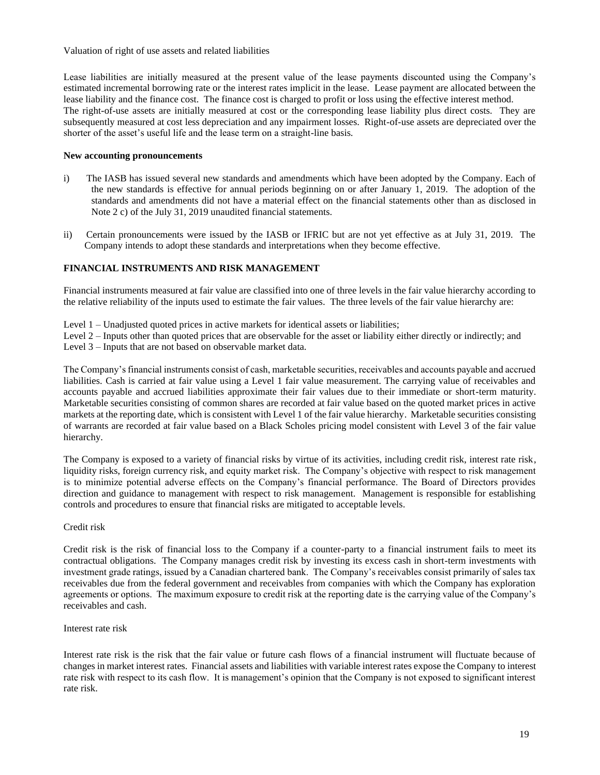Valuation of right of use assets and related liabilities

Lease liabilities are initially measured at the present value of the lease payments discounted using the Company's estimated incremental borrowing rate or the interest rates implicit in the lease. Lease payment are allocated between the lease liability and the finance cost. The finance cost is charged to profit or loss using the effective interest method. The right-of-use assets are initially measured at cost or the corresponding lease liability plus direct costs. They are subsequently measured at cost less depreciation and any impairment losses. Right-of-use assets are depreciated over the shorter of the asset's useful life and the lease term on a straight-line basis.

# **New accounting pronouncements**

- i) The IASB has issued several new standards and amendments which have been adopted by the Company. Each of the new standards is effective for annual periods beginning on or after January 1, 2019. The adoption of the standards and amendments did not have a material effect on the financial statements other than as disclosed in Note 2 c) of the July 31, 2019 unaudited financial statements.
- ii) Certain pronouncements were issued by the IASB or IFRIC but are not yet effective as at July 31, 2019. The Company intends to adopt these standards and interpretations when they become effective.

# **FINANCIAL INSTRUMENTS AND RISK MANAGEMENT**

Financial instruments measured at fair value are classified into one of three levels in the fair value hierarchy according to the relative reliability of the inputs used to estimate the fair values. The three levels of the fair value hierarchy are:

Level 1 – Unadjusted quoted prices in active markets for identical assets or liabilities;

Level 2 – Inputs other than quoted prices that are observable for the asset or liability either directly or indirectly; and

Level 3 – Inputs that are not based on observable market data.

The Company's financial instruments consist of cash, marketable securities, receivables and accounts payable and accrued liabilities. Cash is carried at fair value using a Level 1 fair value measurement. The carrying value of receivables and accounts payable and accrued liabilities approximate their fair values due to their immediate or short-term maturity. Marketable securities consisting of common shares are recorded at fair value based on the quoted market prices in active markets at the reporting date, which is consistent with Level 1 of the fair value hierarchy. Marketable securities consisting of warrants are recorded at fair value based on a Black Scholes pricing model consistent with Level 3 of the fair value hierarchy.

The Company is exposed to a variety of financial risks by virtue of its activities, including credit risk, interest rate risk, liquidity risks, foreign currency risk, and equity market risk. The Company's objective with respect to risk management is to minimize potential adverse effects on the Company's financial performance. The Board of Directors provides direction and guidance to management with respect to risk management. Management is responsible for establishing controls and procedures to ensure that financial risks are mitigated to acceptable levels.

# Credit risk

Credit risk is the risk of financial loss to the Company if a counter-party to a financial instrument fails to meet its contractual obligations. The Company manages credit risk by investing its excess cash in short-term investments with investment grade ratings, issued by a Canadian chartered bank. The Company's receivables consist primarily of sales tax receivables due from the federal government and receivables from companies with which the Company has exploration agreements or options. The maximum exposure to credit risk at the reporting date is the carrying value of the Company's receivables and cash.

# Interest rate risk

Interest rate risk is the risk that the fair value or future cash flows of a financial instrument will fluctuate because of changes in market interest rates. Financial assets and liabilities with variable interest rates expose the Company to interest rate risk with respect to its cash flow. It is management's opinion that the Company is not exposed to significant interest rate risk.